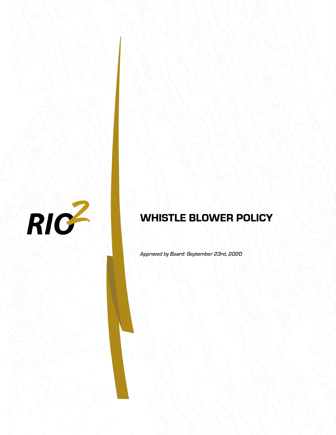

# **WHISTLE BLOWER POLICY**

Approved by Board: September 23rd, 2020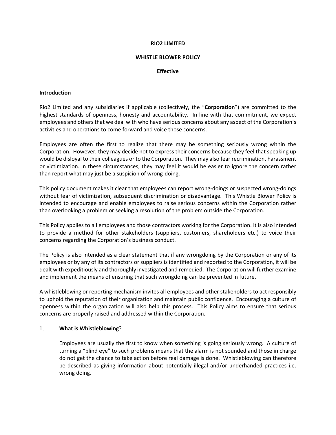### **RIO2 LIMITED**

#### **WHISTLE BLOWER POLICY**

#### **Effective**

#### **Introduction**

Rio2 Limited and any subsidiaries if applicable (collectively, the "**Corporation**") are committed to the highest standards of openness, honesty and accountability. In line with that commitment, we expect employees and others that we deal with who have serious concerns about any aspect of the Corporation's activities and operations to come forward and voice those concerns.

Employees are often the first to realize that there may be something seriously wrong within the Corporation. However, they may decide not to express their concerns because they feel that speaking up would be disloyal to their colleagues or to the Corporation. They may also fear recrimination, harassment or victimization. In these circumstances, they may feel it would be easier to ignore the concern rather than report what may just be a suspicion of wrong‐doing.

This policy document makes it clear that employees can report wrong‐doings or suspected wrong‐doings without fear of victimization, subsequent discrimination or disadvantage. This Whistle Blower Policy is intended to encourage and enable employees to raise serious concerns within the Corporation rather than overlooking a problem or seeking a resolution of the problem outside the Corporation.

This Policy applies to all employees and those contractors working for the Corporation. It is also intended to provide a method for other stakeholders (suppliers, customers, shareholders etc.) to voice their concerns regarding the Corporation's business conduct.

The Policy is also intended as a clear statement that if any wrongdoing by the Corporation or any of its employees or by any of its contractors or suppliers is identified and reported to the Corporation, it will be dealt with expeditiously and thoroughly investigated and remedied. The Corporation will further examine and implement the means of ensuring that such wrongdoing can be prevented in future.

A whistleblowing or reporting mechanism invites all employees and other stakeholders to act responsibly to uphold the reputation of their organization and maintain public confidence. Encouraging a culture of openness within the organization will also help this process. This Policy aims to ensure that serious concerns are properly raised and addressed within the Corporation.

### 1. **What is Whistleblowing**?

Employees are usually the first to know when something is going seriously wrong. A culture of turning a "blind eye" to such problems means that the alarm is not sounded and those in charge do not get the chance to take action before real damage is done. Whistleblowing can therefore be described as giving information about potentially illegal and/or underhanded practices i.e. wrong doing.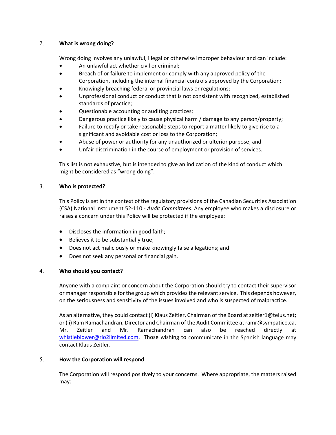## 2. **What is wrong doing?**

Wrong doing involves any unlawful, illegal or otherwise improper behaviour and can include:

- An unlawful act whether civil or criminal;
- Breach of or failure to implement or comply with any approved policy of the Corporation, including the internal financial controls approved by the Corporation;
- Knowingly breaching federal or provincial laws or regulations;
- Unprofessional conduct or conduct that is not consistent with recognized, established standards of practice;
- Questionable accounting or auditing practices;
- Dangerous practice likely to cause physical harm / damage to any person/property;
- Failure to rectify or take reasonable steps to report a matter likely to give rise to a significant and avoidable cost or loss to the Corporation;
- Abuse of power or authority for any unauthorized or ulterior purpose; and
- Unfair discrimination in the course of employment or provision of services.

This list is not exhaustive, but is intended to give an indication of the kind of conduct which might be considered as "wrong doing".

## 3. **Who is protected?**

This Policy is set in the context of the regulatory provisions of the Canadian Securities Association (CSA) National Instrument 52‐110 ‐ *Audit Committees*. Any employee who makes a disclosure or raises a concern under this Policy will be protected if the employee:

- Discloses the information in good faith;
- Believes it to be substantially true;
- Does not act maliciously or make knowingly false allegations; and
- Does not seek any personal or financial gain.

# 4. **Who should you contact?**

Anyone with a complaint or concern about the Corporation should try to contact their supervisor or manager responsible for the group which provides the relevant service. This depends however, on the seriousness and sensitivity of the issues involved and who is suspected of malpractice.

As an alternative, they could contact (i) Klaus Zeitler, Chairman of the Board at zeitler1@telus.net; or (ii) Ram Ramachandran, Director and Chairman of the Audit Committee at ramr@sympatico.ca. Mr. Zeitler and Mr. Ramachandran can also be reached directly at whistleblower@rio2limited.com. Those wishing to communicate in the Spanish language may contact Klaus Zeitler.

# 5. **How the Corporation will respond**

The Corporation will respond positively to your concerns. Where appropriate, the matters raised may: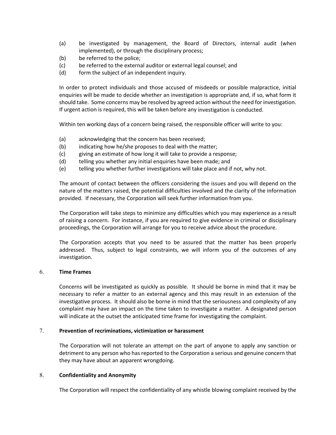- (a) be investigated by management, the Board of Directors, internal audit (when implemented), or through the disciplinary process;
- (b) be referred to the police;
- (c) be referred to the external auditor or external legal counsel; and
- (d) form the subject of an independent inquiry.

In order to protect individuals and those accused of misdeeds or possible malpractice, initial enquiries will be made to decide whether an investigation is appropriate and, if so, what form it should take. Some concerns may be resolved by agreed action without the need for investigation. If urgent action is required, this will be taken before any investigation is conducted.

Within ten working days of a concern being raised, the responsible officer will write to you:

- (a) acknowledging that the concern has been received;
- (b) indicating how he/she proposes to deal with the matter;
- (c) giving an estimate of how long it will take to provide a response;
- (d) telling you whether any initial enquiries have been made; and
- (e) telling you whether further investigations will take place and if not, why not.

The amount of contact between the officers considering the issues and you will depend on the nature of the matters raised, the potential difficulties involved and the clarity of the information provided. If necessary, the Corporation will seek further information from you.

The Corporation will take steps to minimize any difficulties which you may experience as a result of raising a concern. For instance, if you are required to give evidence in criminal or disciplinary proceedings, the Corporation will arrange for you to receive advice about the procedure.

The Corporation accepts that you need to be assured that the matter has been properly addressed. Thus, subject to legal constraints, we will inform you of the outcomes of any investigation.

## 6. **Time Frames**

Concerns will be investigated as quickly as possible. It should be borne in mind that it may be necessary to refer a matter to an external agency and this may result in an extension of the investigative process. It should also be borne in mind that the seriousness and complexity of any complaint may have an impact on the time taken to investigate a matter. A designated person will indicate at the outset the anticipated time frame for investigating the complaint.

## 7. **Prevention of recriminations, victimization or harassment**

The Corporation will not tolerate an attempt on the part of anyone to apply any sanction or detriment to any person who has reported to the Corporation a serious and genuine concern that they may have about an apparent wrongdoing.

### 8. **Confidentiality and Anonymity**

The Corporation will respect the confidentiality of any whistle blowing complaint received by the